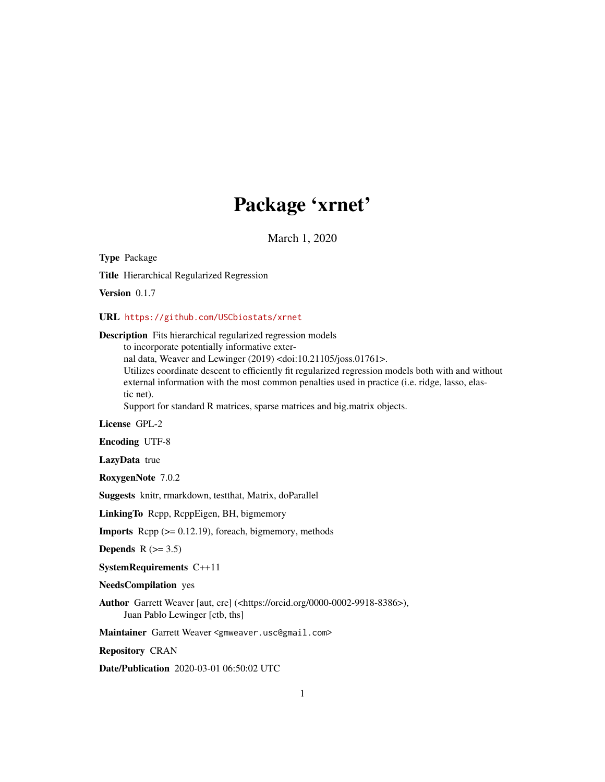# Package 'xrnet'

March 1, 2020

Type Package

Title Hierarchical Regularized Regression

Version 0.1.7

#### URL <https://github.com/USCbiostats/xrnet>

#### Description Fits hierarchical regularized regression models

to incorporate potentially informative exter-

nal data, Weaver and Lewinger (2019) <doi:10.21105/joss.01761>.

Utilizes coordinate descent to efficiently fit regularized regression models both with and without external information with the most common penalties used in practice (i.e. ridge, lasso, elastic net).

Support for standard R matrices, sparse matrices and big.matrix objects.

License GPL-2

Encoding UTF-8

LazyData true

RoxygenNote 7.0.2

Suggests knitr, rmarkdown, testthat, Matrix, doParallel

LinkingTo Rcpp, RcppEigen, BH, bigmemory

**Imports** Rcpp  $(>= 0.12.19)$ , foreach, bigmemory, methods

Depends  $R$  ( $>= 3.5$ )

SystemRequirements C++11

NeedsCompilation yes

Author Garrett Weaver [aut, cre] (<https://orcid.org/0000-0002-9918-8386>), Juan Pablo Lewinger [ctb, ths]

Maintainer Garrett Weaver <gmweaver.usc@gmail.com>

Repository CRAN

Date/Publication 2020-03-01 06:50:02 UTC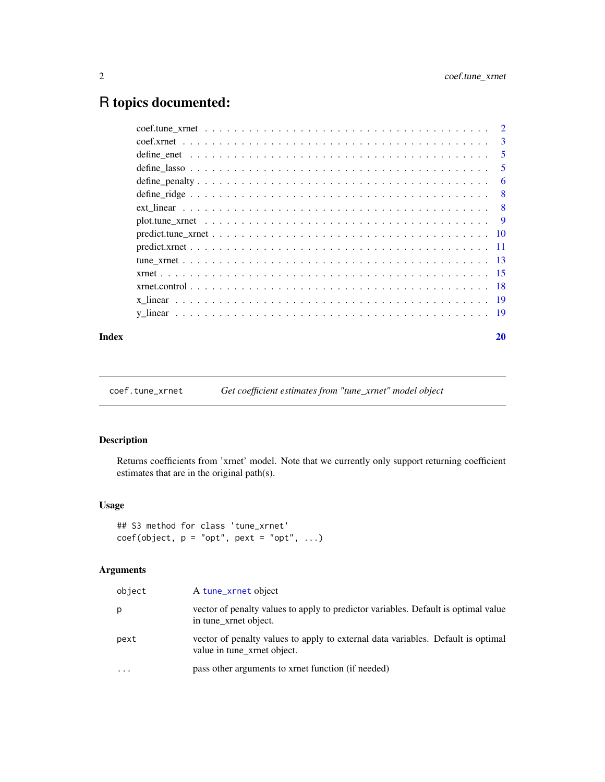# <span id="page-1-0"></span>R topics documented:

|  | 3   |
|--|-----|
|  | -5  |
|  | 5   |
|  | 6   |
|  | - 8 |
|  |     |
|  |     |
|  |     |
|  |     |
|  |     |
|  |     |
|  |     |
|  |     |
|  |     |
|  |     |

#### $\bf 1$ ndex  $\bf 20$  $\bf 20$

coef.tune\_xrnet *Get coefficient estimates from "tune\_xrnet" model object*

# Description

Returns coefficients from 'xrnet' model. Note that we currently only support returning coefficient estimates that are in the original path(s).

# Usage

```
## S3 method for class 'tune_xrnet'
coef(object, p = "opt", pext = "opt", ...)
```
# Arguments

| object | A tune_xrnet object                                                                                             |
|--------|-----------------------------------------------------------------------------------------------------------------|
| p      | vector of penalty values to apply to predictor variables. Default is optimal value<br>in tune xrnet object.     |
| pext   | vector of penalty values to apply to external data variables. Default is optimal<br>value in tune_xrnet object. |
| .      | pass other arguments to xrnet function (if needed)                                                              |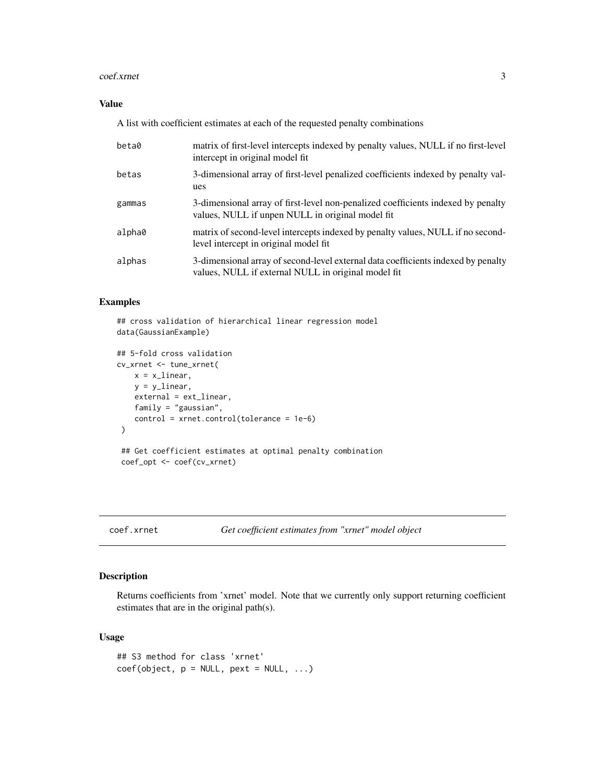#### <span id="page-2-0"></span>coef.xrnet 3

# Value

A list with coefficient estimates at each of the requested penalty combinations

| beta0  | matrix of first-level intercepts indexed by penalty values, NULL if no first-level<br>intercept in original model fit                    |
|--------|------------------------------------------------------------------------------------------------------------------------------------------|
| betas  | 3-dimensional array of first-level penalized coefficients indexed by penalty val-<br>ues                                                 |
| gammas | 3-dimensional array of first-level non-penalized coefficients indexed by penalty<br>values, NULL if unpen NULL in original model fit     |
| alpha0 | matrix of second-level intercepts indexed by penalty values, NULL if no second-<br>level intercept in original model fit.                |
| alphas | 3-dimensional array of second-level external data coefficients indexed by penalty<br>values, NULL if external NULL in original model fit |

# Examples

```
## cross validation of hierarchical linear regression model
data(GaussianExample)
## 5-fold cross validation
cv_xrnet <- tune_xrnet(
   x = x_linear,
   y = y_linear,
   external = ext_linear,
   family = "gaussian",
   control = xrnet.control(tolerance = 1e-6)
 )
 ## Get coefficient estimates at optimal penalty combination
 coef_opt <- coef(cv_xrnet)
```
# <span id="page-2-1"></span>coef.xrnet *Get coefficient estimates from "xrnet" model object*

#### Description

Returns coefficients from 'xrnet' model. Note that we currently only support returning coefficient estimates that are in the original path(s).

```
## S3 method for class 'xrnet'
coef(object, p = NULL, pext = NULL, ...)
```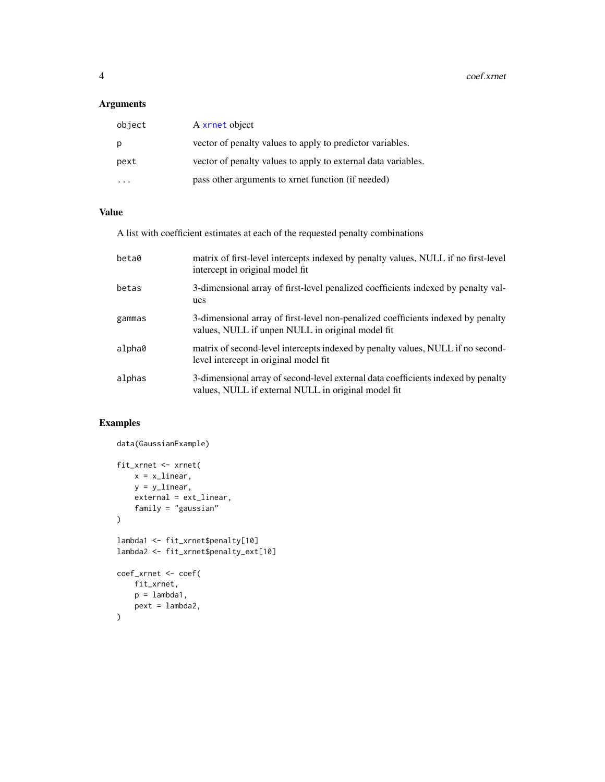# <span id="page-3-0"></span>Arguments

| object | A xrnet object                                                |
|--------|---------------------------------------------------------------|
| p      | vector of penalty values to apply to predictor variables.     |
| pext   | vector of penalty values to apply to external data variables. |
|        | pass other arguments to xrnet function (if needed)            |

# Value

A list with coefficient estimates at each of the requested penalty combinations

| beta0  | matrix of first-level intercepts indexed by penalty values, NULL if no first-level<br>intercept in original model fit                    |
|--------|------------------------------------------------------------------------------------------------------------------------------------------|
| betas  | 3-dimensional array of first-level penalized coefficients indexed by penalty val-<br>ues                                                 |
| gammas | 3-dimensional array of first-level non-penalized coefficients indexed by penalty<br>values, NULL if unpen NULL in original model fit     |
| alpha0 | matrix of second-level intercepts indexed by penalty values, NULL if no second-<br>level intercept in original model fit.                |
| alphas | 3-dimensional array of second-level external data coefficients indexed by penalty<br>values, NULL if external NULL in original model fit |

# Examples

```
data(GaussianExample)
fit_xrnet <- xrnet(
   x = x_1inear,
   y = ylinear,
   external = ext_linear,
   family = "gaussian"
)
lambda1 <- fit_xrnet$penalty[10]
lambda2 <- fit_xrnet$penalty_ext[10]
coef_xrnet <- coef(
   fit_xrnet,
   p = lambda1,
   pext = lambda2,
)
```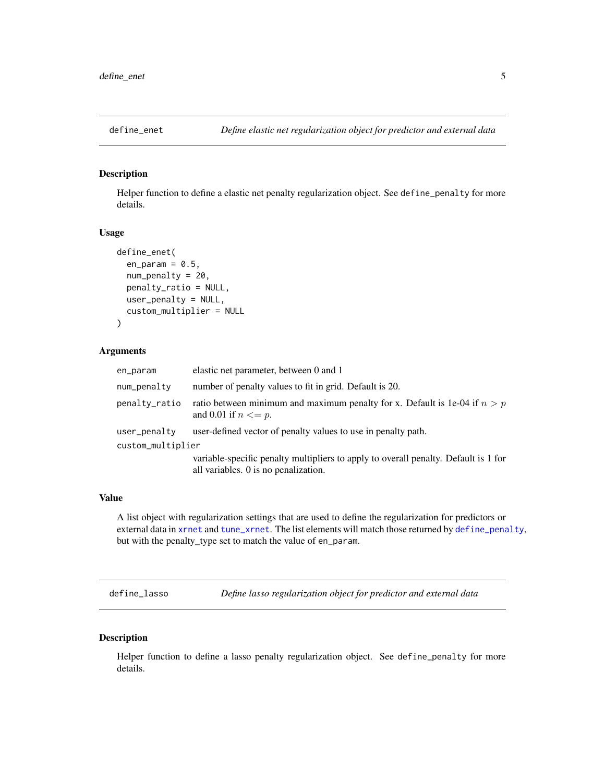<span id="page-4-0"></span>

Helper function to define a elastic net penalty regularization object. See define\_penalty for more details.

# Usage

```
define_enet(
  en\_param = 0.5,
  num_penalty = 20,
 penalty_ratio = NULL,
 user_penalty = NULL,
  custom_multiplier = NULL
)
```
#### Arguments

| en_param          | elastic net parameter, between 0 and 1                                                                                      |  |
|-------------------|-----------------------------------------------------------------------------------------------------------------------------|--|
| num_penalty       | number of penalty values to fit in grid. Default is 20.                                                                     |  |
| penalty_ratio     | ratio between minimum and maximum penalty for x. Default is 1e-04 if $n > p$<br>and 0.01 if $n \leq p$ .                    |  |
| user_penalty      | user-defined vector of penalty values to use in penalty path.                                                               |  |
| custom_multiplier |                                                                                                                             |  |
|                   | variable-specific penalty multipliers to apply to overall penalty. Default is 1 for<br>all variables. 0 is no penalization. |  |

#### Value

A list object with regularization settings that are used to define the regularization for predictors or external data in [xrnet](#page-14-1) and [tune\\_xrnet](#page-12-1). The list elements will match those returned by [define\\_penalty](#page-5-1), but with the penalty\_type set to match the value of en\_param.

define\_lasso *Define lasso regularization object for predictor and external data*

# Description

Helper function to define a lasso penalty regularization object. See define\_penalty for more details.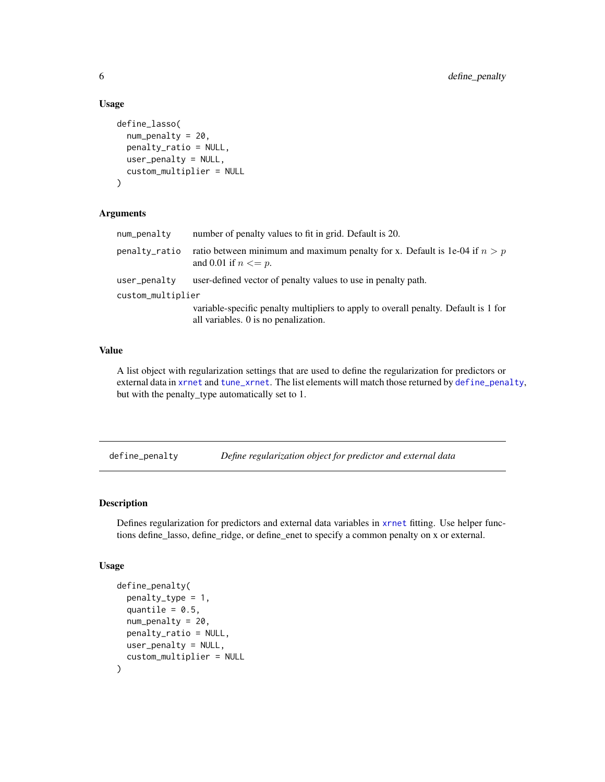#### Usage

```
define_lasso(
  num_penalty = 20,
  penalty_ratio = NULL,
  user\_penalty = NULL,
  custom_multiplier = NULL
\lambda
```
# Arguments

| num_penalty       | number of penalty values to fit in grid. Default is 20.                                                                     |  |
|-------------------|-----------------------------------------------------------------------------------------------------------------------------|--|
| penalty_ratio     | ratio between minimum and maximum penalty for x. Default is 1e-04 if $n > p$<br>and 0.01 if $n \leq p$ .                    |  |
| user_penalty      | user-defined vector of penalty values to use in penalty path.                                                               |  |
| custom_multiplier |                                                                                                                             |  |
|                   | variable-specific penalty multipliers to apply to overall penalty. Default is 1 for<br>all variables. 0 is no penalization. |  |

#### Value

A list object with regularization settings that are used to define the regularization for predictors or external data in [xrnet](#page-14-1) and [tune\\_xrnet](#page-12-1). The list elements will match those returned by [define\\_penalty](#page-5-1), but with the penalty\_type automatically set to 1.

<span id="page-5-1"></span>define\_penalty *Define regularization object for predictor and external data*

#### Description

Defines regularization for predictors and external data variables in [xrnet](#page-14-1) fitting. Use helper functions define\_lasso, define\_ridge, or define\_enet to specify a common penalty on x or external.

```
define_penalty(
 penalty_type = 1,
  quantile = 0.5,
 num_penalty = 20,
 penalty_ratio = NULL,
 user_penalty = NULL,
  custom_multiplier = NULL
)
```
<span id="page-5-0"></span>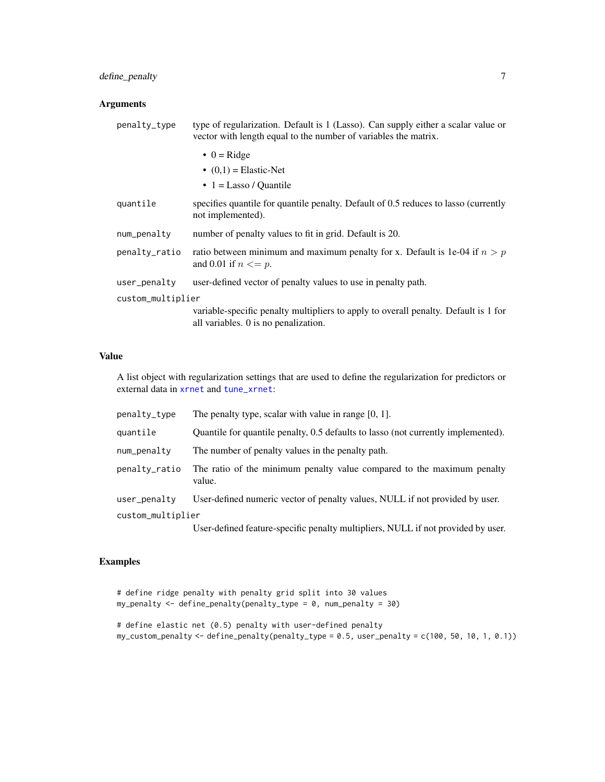# define\_penalty 7

# Arguments

| type of regularization. Default is 1 (Lasso). Can supply either a scalar value or<br>vector with length equal to the number of variables the matrix. |  |  |
|------------------------------------------------------------------------------------------------------------------------------------------------------|--|--|
| $\bullet$ 0 = Ridge                                                                                                                                  |  |  |
| $(0,1)$ = Elastic-Net                                                                                                                                |  |  |
| $\bullet$ 1 = Lasso / Quantile                                                                                                                       |  |  |
| specifies quantile for quantile penalty. Default of 0.5 reduces to lasso (currently<br>not implemented).                                             |  |  |
| number of penalty values to fit in grid. Default is 20.                                                                                              |  |  |
| ratio between minimum and maximum penalty for x. Default is 1e-04 if $n > p$<br>and 0.01 if $n \leq p$ .                                             |  |  |
| user-defined vector of penalty values to use in penalty path.                                                                                        |  |  |
| custom_multiplier                                                                                                                                    |  |  |
| variable-specific penalty multipliers to apply to overall penalty. Default is 1 for<br>all variables. 0 is no penalization.                          |  |  |
|                                                                                                                                                      |  |  |

# Value

A list object with regularization settings that are used to define the regularization for predictors or external data in [xrnet](#page-14-1) and [tune\\_xrnet](#page-12-1):

| penalty_type      | The penalty type, scalar with value in range $[0, 1]$ .                           |  |
|-------------------|-----------------------------------------------------------------------------------|--|
| quantile          | Quantile for quantile penalty, 0.5 defaults to lasso (not currently implemented). |  |
| num_penalty       | The number of penalty values in the penalty path.                                 |  |
| penalty_ratio     | The ratio of the minimum penalty value compared to the maximum penalty<br>value.  |  |
| user_penalty      | User-defined numeric vector of penalty values, NULL if not provided by user.      |  |
| custom_multiplier |                                                                                   |  |
|                   | User-defined feature-specific penalty multipliers, NULL if not provided by user.  |  |

# Examples

```
# define ridge penalty with penalty grid split into 30 values
my_penalty < - define_penalty(penalty_type = 0, num_penalty = 30)
```

```
# define elastic net (0.5) penalty with user-defined penalty
my_custom_penalty <- define_penalty(penalty_type = 0.5, user_penalty = c(100, 50, 10, 1, 0.1))
```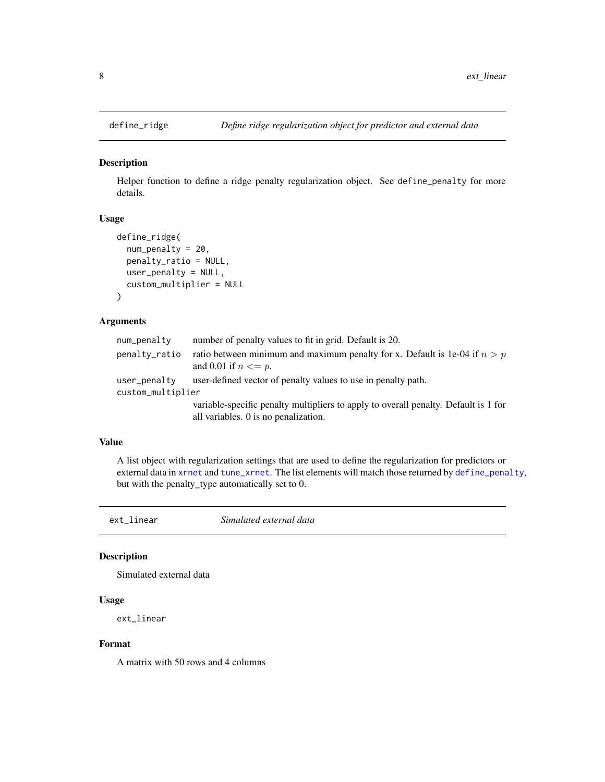<span id="page-7-0"></span>

Helper function to define a ridge penalty regularization object. See define\_penalty for more details.

## Usage

```
define_ridge(
  num_penalty = 20,
  penalty_ratio = NULL,
  user_penalty = NULL,
  custom_multiplier = NULL
\mathcal{E}
```
# Arguments

| num_penalty       | number of penalty values to fit in grid. Default is 20.                                                  |
|-------------------|----------------------------------------------------------------------------------------------------------|
| penalty_ratio     | ratio between minimum and maximum penalty for x. Default is 1e-04 if $n > p$<br>and 0.01 if $n \leq p$ . |
| user_penalty      | user-defined vector of penalty values to use in penalty path.                                            |
| custom_multiplier |                                                                                                          |
|                   | variable-specific penalty multipliers to apply to overall penalty. Default is 1 for                      |
|                   | all variables. 0 is no penalization.                                                                     |

#### Value

A list object with regularization settings that are used to define the regularization for predictors or external data in [xrnet](#page-14-1) and [tune\\_xrnet](#page-12-1). The list elements will match those returned by [define\\_penalty](#page-5-1), but with the penalty\_type automatically set to 0.

ext\_linear *Simulated external data*

#### Description

Simulated external data

#### Usage

ext\_linear

#### Format

A matrix with 50 rows and 4 columns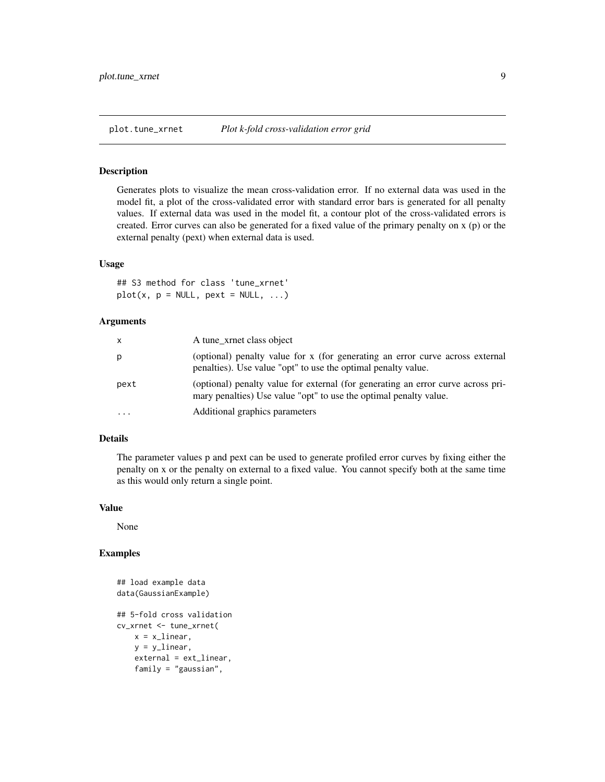<span id="page-8-0"></span>

Generates plots to visualize the mean cross-validation error. If no external data was used in the model fit, a plot of the cross-validated error with standard error bars is generated for all penalty values. If external data was used in the model fit, a contour plot of the cross-validated errors is created. Error curves can also be generated for a fixed value of the primary penalty on x (p) or the external penalty (pext) when external data is used.

#### Usage

## S3 method for class 'tune\_xrnet'  $plot(x, p = NULL, pext = NULL, ...)$ 

## Arguments

| x         | A tune_xrnet class object                                                                                                                             |
|-----------|-------------------------------------------------------------------------------------------------------------------------------------------------------|
| p         | (optional) penalty value for x (for generating an error curve across external<br>penalties). Use value "opt" to use the optimal penalty value.        |
| pext      | (optional) penalty value for external (for generating an error curve across pri-<br>mary penalties) Use value "opt" to use the optimal penalty value. |
| $\ddotsc$ | Additional graphics parameters                                                                                                                        |

#### Details

The parameter values p and pext can be used to generate profiled error curves by fixing either the penalty on x or the penalty on external to a fixed value. You cannot specify both at the same time as this would only return a single point.

#### Value

None

#### Examples

```
## load example data
data(GaussianExample)
## 5-fold cross validation
cv_xrnet <- tune_xrnet(
   x = x_linear,
   y = ylinear,
   external = ext_linear,
   family = "gaussian",
```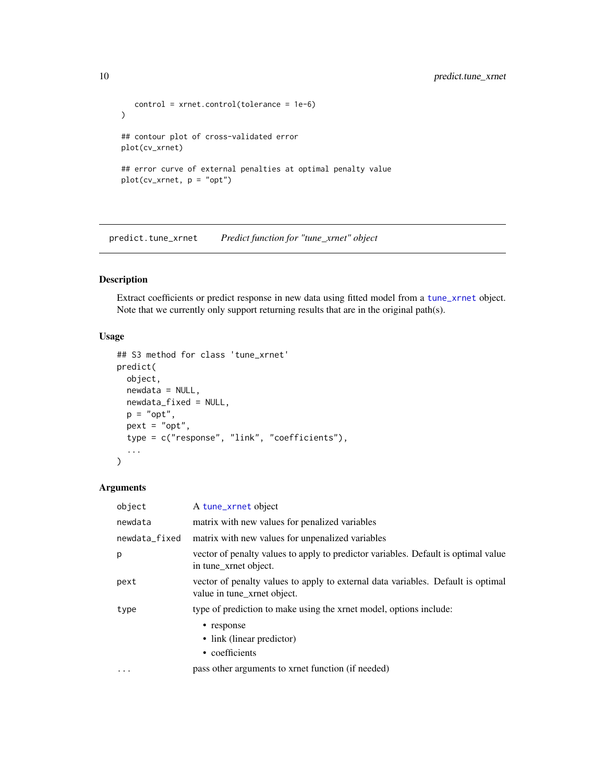```
control = xrnet.control(tolerance = 1e-6)
\mathcal{L}## contour plot of cross-validated error
plot(cv_xrnet)
## error curve of external penalties at optimal penalty value
plot(cv_xrnet, p = "opt")
```
predict.tune\_xrnet *Predict function for "tune\_xrnet" object*

# Description

Extract coefficients or predict response in new data using fitted model from a [tune\\_xrnet](#page-12-1) object. Note that we currently only support returning results that are in the original path(s).

# Usage

```
## S3 method for class 'tune_xrnet'
predict(
 object,
 newdata = NULL,
 newdata_fixed = NULL,
 p = "opt",pext = "opt",type = c("response", "link", "coefficients"),
  ...
\mathcal{L}
```
# Arguments

| object            | A tune_xrnet object                                                                                             |
|-------------------|-----------------------------------------------------------------------------------------------------------------|
| newdata           | matrix with new values for penalized variables                                                                  |
| newdata_fixed     | matrix with new values for unpenalized variables                                                                |
| p                 | vector of penalty values to apply to predictor variables. Default is optimal value<br>in tune xrnet object.     |
| pext              | vector of penalty values to apply to external data variables. Default is optimal<br>value in tune xrnet object. |
| type              | type of prediction to make using the xrnet model, options include:                                              |
|                   | • response<br>• link (linear predictor)<br>• coefficients                                                       |
| $\cdot\cdot\cdot$ | pass other arguments to xrnet function (if needed)                                                              |

<span id="page-9-0"></span>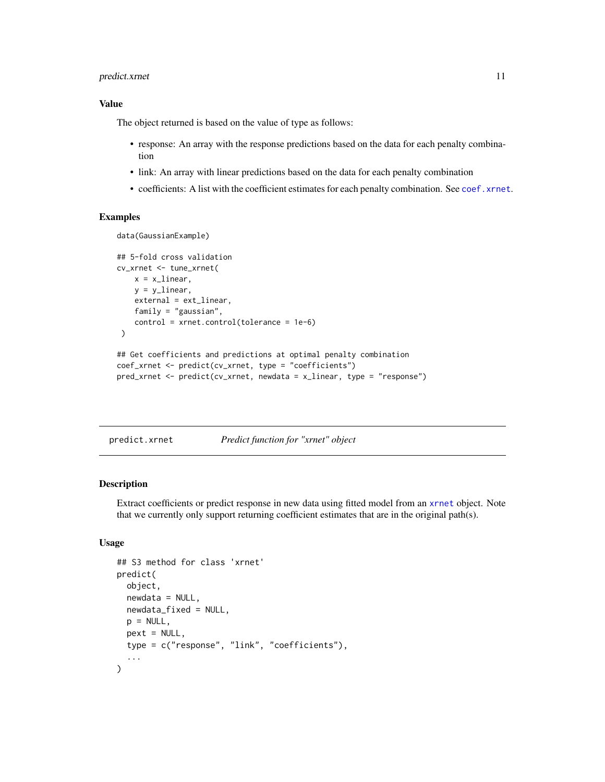# <span id="page-10-0"></span>predict.xrnet 11

#### Value

The object returned is based on the value of type as follows:

- response: An array with the response predictions based on the data for each penalty combination
- link: An array with linear predictions based on the data for each penalty combination
- coefficients: A list with the coefficient estimates for each penalty combination. See [coef.xrnet](#page-2-1).

# Examples

```
data(GaussianExample)
```

```
## 5-fold cross validation
cv_xrnet <- tune_xrnet(
   x = x_linear,
   y = ylinear,
   external = ext_linear,
   family = "gaussian",
   control = xrnet.control(tolerance = 1e-6)
)
## Get coefficients and predictions at optimal penalty combination
coef_xrnet <- predict(cv_xrnet, type = "coefficients")
pred_xrnet <- predict(cv_xrnet, newdata = x_linear, type = "response")
```
predict.xrnet *Predict function for "xrnet" object*

#### **Description**

Extract coefficients or predict response in new data using fitted model from an [xrnet](#page-14-1) object. Note that we currently only support returning coefficient estimates that are in the original path(s).

```
## S3 method for class 'xrnet'
predict(
 object,
 newdata = NULL,
 newdata_fixed = NULL,
 p = NULL,next = NULL,
  type = c("response", "link", "coefficients"),
  ...
)
```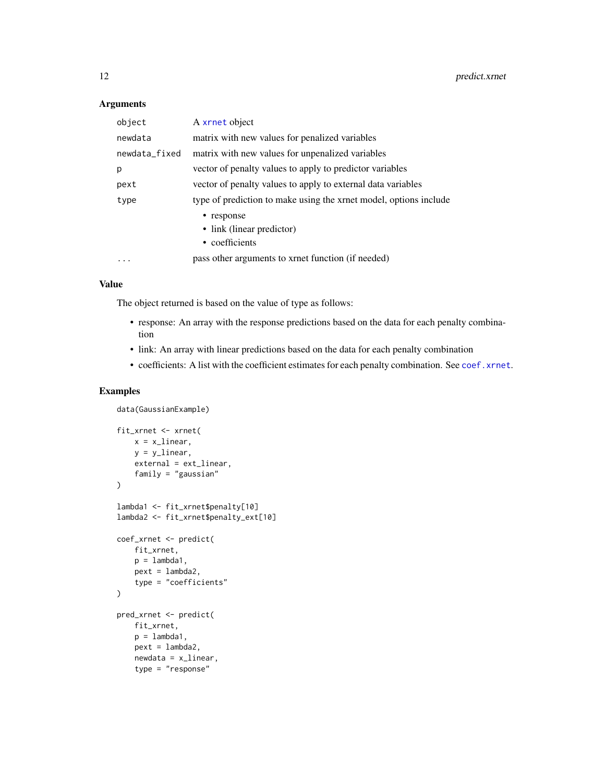#### <span id="page-11-0"></span>Arguments

| object        | A xrnet object                                                    |
|---------------|-------------------------------------------------------------------|
| newdata       | matrix with new values for penalized variables                    |
| newdata_fixed | matrix with new values for unpenalized variables                  |
| р             | vector of penalty values to apply to predictor variables          |
| pext          | vector of penalty values to apply to external data variables      |
| type          | type of prediction to make using the xrnet model, options include |
|               | • response<br>• link (linear predictor)<br>• coefficients         |
| .             | pass other arguments to xrnet function (if needed)                |

#### Value

The object returned is based on the value of type as follows:

- response: An array with the response predictions based on the data for each penalty combination
- link: An array with linear predictions based on the data for each penalty combination
- coefficients: A list with the coefficient estimates for each penalty combination. See [coef.xrnet](#page-2-1).

# Examples

data(GaussianExample)

```
fit_xrnet <- xrnet(
   x = x_1inear,
    y = ylinear,
    external = ext_linear,
    family = "gaussian"
\mathcal{L}lambda1 <- fit_xrnet$penalty[10]
lambda2 <- fit_xrnet$penalty_ext[10]
coef_xrnet <- predict(
   fit_xrnet,
    p =lambda1,
    pext =lambda2,
    type = "coefficients"
\mathcal{L}pred_xrnet <- predict(
    fit_xrnet,
    p =lambda1,
    pext = lambda2,
    newdata = x_linear,
    type = "response"
```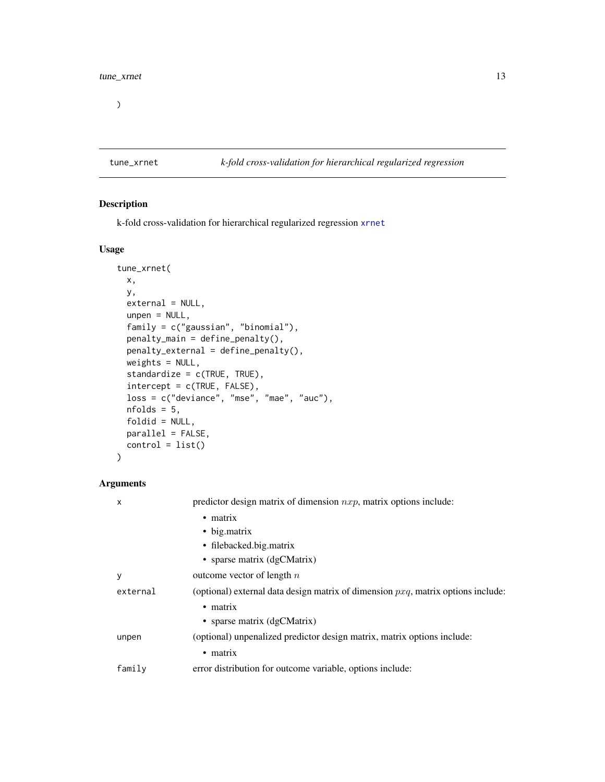<span id="page-12-0"></span> $\overline{)}$ 

# <span id="page-12-1"></span>tune\_xrnet *k-fold cross-validation for hierarchical regularized regression*

# Description

k-fold cross-validation for hierarchical regularized regression [xrnet](#page-14-1)

# Usage

```
tune_xrnet(
 x,
 y,
 external = NULL,
 unpen = NULL,
  family = c("gaussian", "binomial"),
 penalty_main = define_penalty(),
 penalty_external = define_penalty(),
 weights = NULL,
  standardize = c(TRUE, TRUE),
  intercept = c(TRUE, FALSE),
  loss = c("deviance", "mse", "mae", "auc"),nfolds = 5,
  foldid = NULL,
 parallel = FALSE,
 control = list()\mathcal{L}
```
# Arguments

| X        | predictor design matrix of dimension $nxp$ , matrix options include:                |
|----------|-------------------------------------------------------------------------------------|
|          | $\bullet$ matrix                                                                    |
|          | • big.matrix                                                                        |
|          | · filebacked.big.matrix                                                             |
|          | • sparse matrix $(dgCMatrix)$                                                       |
| y        | outcome vector of length $n$                                                        |
| external | (optional) external data design matrix of dimension $pxa$ , matrix options include: |
|          | • matrix                                                                            |
|          | • sparse matrix (dgCMatrix)                                                         |
| unpen    | (optional) unpenalized predictor design matrix, matrix options include:             |
|          | $\bullet$ matrix                                                                    |
| family   | error distribution for outcome variable, options include:                           |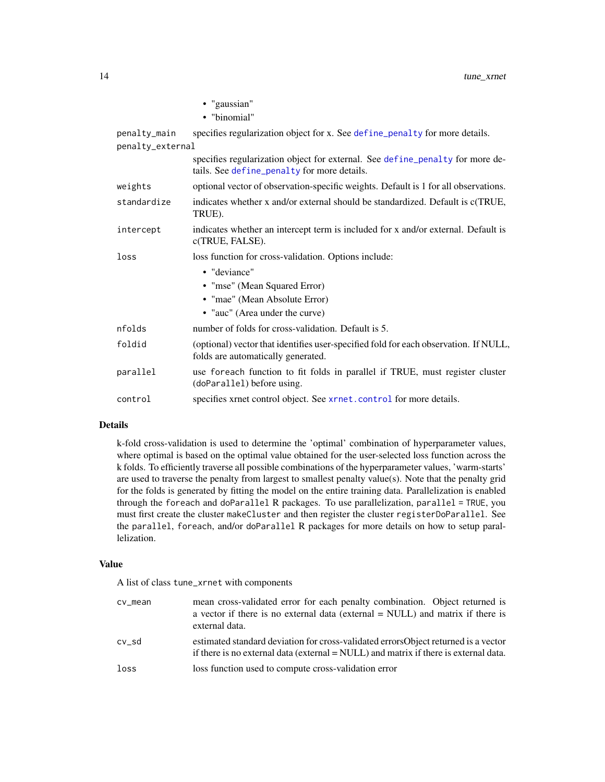<span id="page-13-0"></span>

|                  | • "gaussian"                                                                                                                 |
|------------------|------------------------------------------------------------------------------------------------------------------------------|
|                  | • "binomial"                                                                                                                 |
| penalty_main     | specifies regularization object for x. See define_penalty for more details.                                                  |
| penalty_external |                                                                                                                              |
|                  | specifies regularization object for external. See define_penalty for more de-<br>tails. See define_penalty for more details. |
| weights          | optional vector of observation-specific weights. Default is 1 for all observations.                                          |
| standardize      | indicates whether x and/or external should be standardized. Default is c(TRUE,<br>TRUE).                                     |
| intercept        | indicates whether an intercept term is included for x and/or external. Default is<br>c(TRUE, FALSE).                         |
| loss             | loss function for cross-validation. Options include:                                                                         |
|                  | • "deviance"                                                                                                                 |
|                  | • "mse" (Mean Squared Error)                                                                                                 |
|                  | • "mae" (Mean Absolute Error)                                                                                                |
|                  | • "auc" (Area under the curve)                                                                                               |
| nfolds           | number of folds for cross-validation. Default is 5.                                                                          |
| foldid           | (optional) vector that identifies user-specified fold for each observation. If NULL,<br>folds are automatically generated.   |
| parallel         | use foreach function to fit folds in parallel if TRUE, must register cluster<br>(doParallel) before using.                   |
| control          | specifies xrnet control object. See xrnet.control for more details.                                                          |

#### Details

k-fold cross-validation is used to determine the 'optimal' combination of hyperparameter values, where optimal is based on the optimal value obtained for the user-selected loss function across the k folds. To efficiently traverse all possible combinations of the hyperparameter values, 'warm-starts' are used to traverse the penalty from largest to smallest penalty value(s). Note that the penalty grid for the folds is generated by fitting the model on the entire training data. Parallelization is enabled through the foreach and doParallel R packages. To use parallelization, parallel = TRUE, you must first create the cluster makeCluster and then register the cluster registerDoParallel. See the parallel, foreach, and/or doParallel R packages for more details on how to setup parallelization.

#### Value

A list of class tune\_xrnet with components

| cv_mean | mean cross-validated error for each penalty combination. Object returned is<br>a vector if there is no external data (external $=$ NULL) and matrix if there is<br>external data. |
|---------|-----------------------------------------------------------------------------------------------------------------------------------------------------------------------------------|
| cv sd   | estimated standard deviation for cross-validated errorsObject returned is a vector<br>if there is no external data (external = NULL) and matrix if there is external data.        |
| loss    | loss function used to compute cross-validation error                                                                                                                              |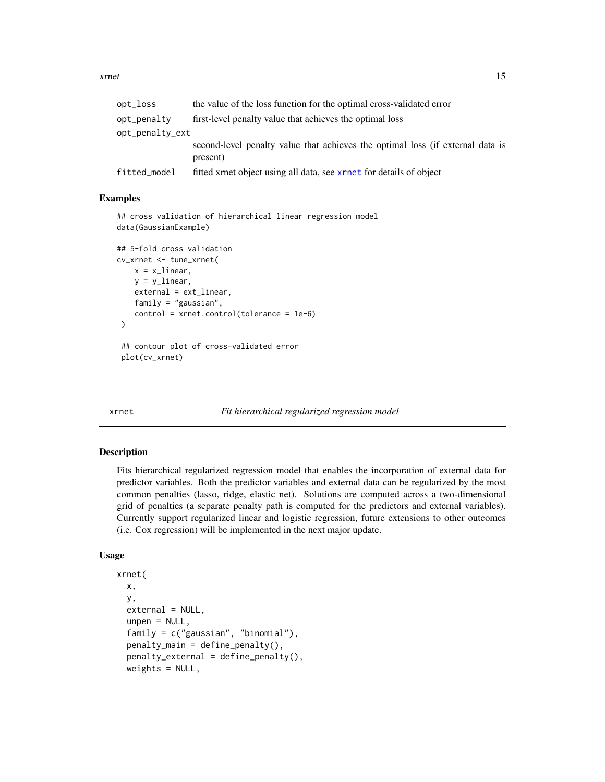<span id="page-14-0"></span>

| opt_loss                       | the value of the loss function for the optimal cross-validated error                       |
|--------------------------------|--------------------------------------------------------------------------------------------|
| opt_penalty<br>opt_penalty_ext | first-level penalty value that achieves the optimal loss                                   |
|                                | second-level penalty value that achieves the optimal loss (if external data is<br>present) |
| fitted_model                   | fitted xrnet object using all data, see xrnet for details of object                        |

#### Examples

```
## cross validation of hierarchical linear regression model
data(GaussianExample)
## 5-fold cross validation
cv_xrnet <- tune_xrnet(
   x = x_linear,
   y = ylinear,
    external = ext_linear,
    family = "gaussian",
    control = xrnet.control(tolerance = 1e-6)
\mathcal{L}## contour plot of cross-validated error
 plot(cv_xrnet)
```
<span id="page-14-1"></span>

xrnet *Fit hierarchical regularized regression model*

#### Description

Fits hierarchical regularized regression model that enables the incorporation of external data for predictor variables. Both the predictor variables and external data can be regularized by the most common penalties (lasso, ridge, elastic net). Solutions are computed across a two-dimensional grid of penalties (a separate penalty path is computed for the predictors and external variables). Currently support regularized linear and logistic regression, future extensions to other outcomes (i.e. Cox regression) will be implemented in the next major update.

```
xrnet(
  x,
 y,
  external = NULL,unpen = NULL,family = c("gaussian", "binomial"),
  penalty_main = define_penalty(),
  penalty_external = define_penalty(),
  weights = NULL,
```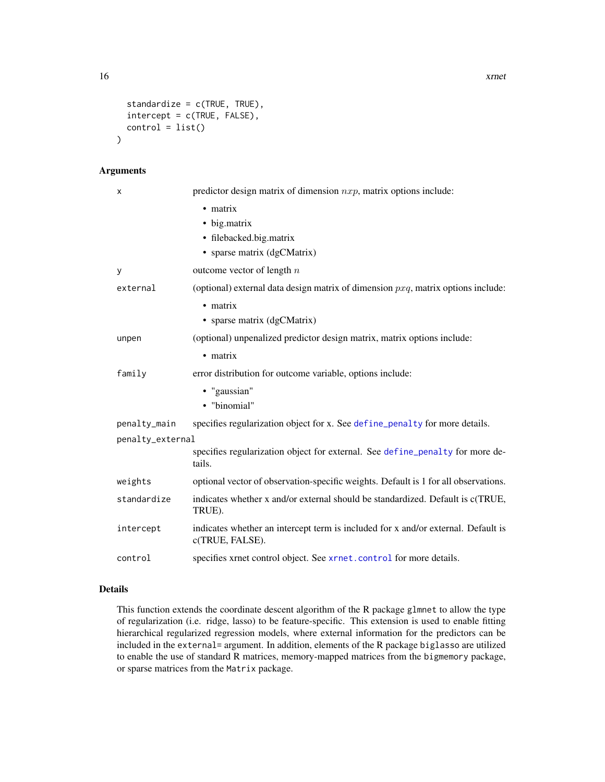```
standardize = c(TRUE, TRUE),
  intercept = c(TRUE, FALSE),
  control = list())
```
# Arguments

| x                | predictor design matrix of dimension $nxp$ , matrix options include:                                 |
|------------------|------------------------------------------------------------------------------------------------------|
|                  | • matrix                                                                                             |
|                  | • big.matrix                                                                                         |
|                  | • filebacked.big.matrix                                                                              |
|                  | • sparse matrix (dgCMatrix)                                                                          |
| У                | outcome vector of length $n$                                                                         |
| external         | (optional) external data design matrix of dimension $pxq$ , matrix options include:                  |
|                  | $\bullet$ matrix                                                                                     |
|                  | • sparse matrix (dgCMatrix)                                                                          |
| unpen            | (optional) unpenalized predictor design matrix, matrix options include:                              |
|                  | • matrix                                                                                             |
| family           | error distribution for outcome variable, options include:                                            |
|                  | · "gaussian"                                                                                         |
|                  | • "binomial"                                                                                         |
| penalty_main     | specifies regularization object for x. See define_penalty for more details.                          |
| penalty_external |                                                                                                      |
|                  | specifies regularization object for external. See define_penalty for more de-<br>tails.              |
| weights          | optional vector of observation-specific weights. Default is 1 for all observations.                  |
| standardize      | indicates whether x and/or external should be standardized. Default is c(TRUE,<br>TRUE).             |
| intercept        | indicates whether an intercept term is included for x and/or external. Default is<br>c(TRUE, FALSE). |
| control          | specifies xrnet control object. See xrnet.control for more details.                                  |

# Details

This function extends the coordinate descent algorithm of the R package glmnet to allow the type of regularization (i.e. ridge, lasso) to be feature-specific. This extension is used to enable fitting hierarchical regularized regression models, where external information for the predictors can be included in the external= argument. In addition, elements of the R package biglasso are utilized to enable the use of standard R matrices, memory-mapped matrices from the bigmemory package, or sparse matrices from the Matrix package.

<span id="page-15-0"></span>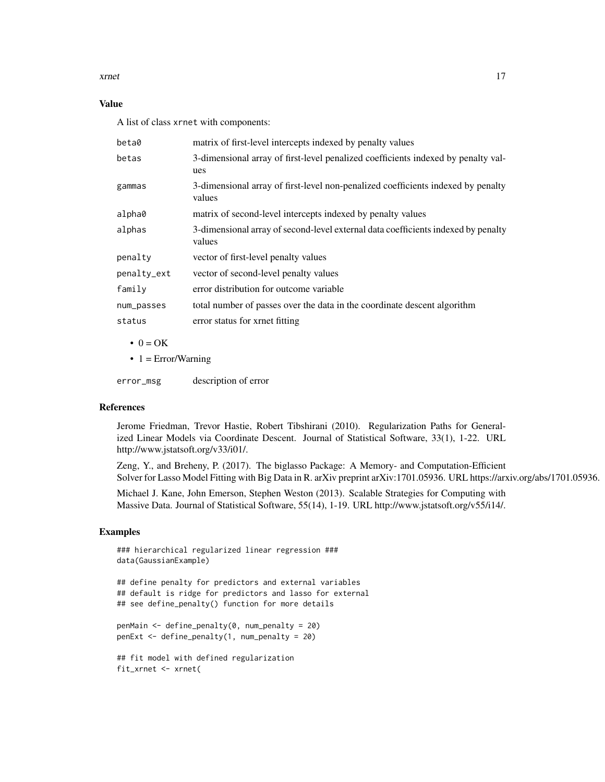xrnet the contract of the contract of the contract of the contract of the contract of the contract of the contract of the contract of the contract of the contract of the contract of the contract of the contract of the cont

# Value

A list of class xrnet with components:

| beta0            | matrix of first-level intercepts indexed by penalty values                                  |
|------------------|---------------------------------------------------------------------------------------------|
| betas            | 3-dimensional array of first-level penalized coefficients indexed by penalty val-<br>ues    |
| gammas           | 3-dimensional array of first-level non-penalized coefficients indexed by penalty<br>values  |
| alpha0           | matrix of second-level intercepts indexed by penalty values                                 |
| alphas           | 3-dimensional array of second-level external data coefficients indexed by penalty<br>values |
| penalty          | vector of first-level penalty values                                                        |
| penalty_ext      | vector of second-level penalty values                                                       |
| family           | error distribution for outcome variable                                                     |
| num_passes       | total number of passes over the data in the coordinate descent algorithm                    |
| status           | error status for xrnet fitting                                                              |
| $\bullet$ 0 = OK |                                                                                             |

 $\bullet$  1 = Error/Warning

error\_msg description of error

#### References

Jerome Friedman, Trevor Hastie, Robert Tibshirani (2010). Regularization Paths for Generalized Linear Models via Coordinate Descent. Journal of Statistical Software, 33(1), 1-22. URL http://www.jstatsoft.org/v33/i01/.

Zeng, Y., and Breheny, P. (2017). The biglasso Package: A Memory- and Computation-Efficient Solver for Lasso Model Fitting with Big Data in R. arXiv preprint arXiv:1701.05936. URL https://arxiv.org/abs/1701.05936.

Michael J. Kane, John Emerson, Stephen Weston (2013). Scalable Strategies for Computing with Massive Data. Journal of Statistical Software, 55(14), 1-19. URL http://www.jstatsoft.org/v55/i14/.

#### Examples

```
### hierarchical regularized linear regression ###
data(GaussianExample)
```
## define penalty for predictors and external variables ## default is ridge for predictors and lasso for external ## see define\_penalty() function for more details

```
penMain <- define_penalty(0, num_penalty = 20)
penExt <- define_penalty(1, num_penalty = 20)
```

```
## fit model with defined regularization
fit_xrnet <- xrnet(
```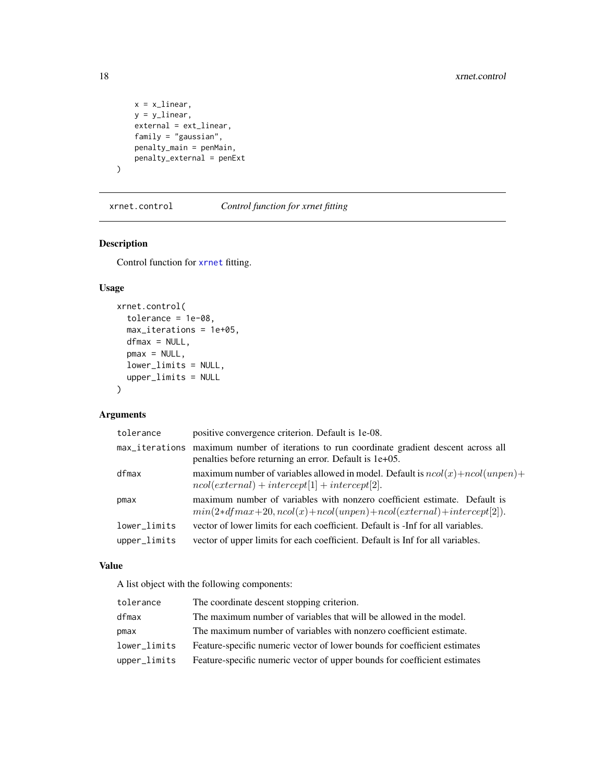```
x = x_linear,
y = y_linear,
external = ext_linear,
family = "gaussian",
penalty_main = penMain,
penalty_external = penExt
```
<span id="page-17-1"></span>xrnet.control *Control function for xrnet fitting*

# Description

 $\mathcal{L}$ 

Control function for [xrnet](#page-14-1) fitting.

# Usage

```
xrnet.control(
  tolerance = 1e-08,
 max_iterations = 1e+05,
 dfmax = NULL,
  pmax = NULL,lower_limits = NULL,
  upper_limits = NULL
\mathcal{L}
```
# Arguments

| tolerance    | positive convergence criterion. Default is 1e-08.                                                                                                   |
|--------------|-----------------------------------------------------------------------------------------------------------------------------------------------------|
|              | max_iterations maximum number of iterations to run coordinate gradient descent across all<br>penalties before returning an error. Default is 1e+05. |
| dfmax        | maximum number of variables allowed in model. Default is $ncol(x) + ncol(unpen) +$<br>$ncol(external) + intercept[1] + intercept[2].$               |
| pmax         | maximum number of variables with nonzero coefficient estimate. Default is<br>$min(2*dfmax+20, ncol(x)+ncol(unpen)+ncol(external)+intercept[2]).$    |
| lower_limits | vector of lower limits for each coefficient. Default is -Inf for all variables.                                                                     |
| upper_limits | vector of upper limits for each coefficient. Default is Inf for all variables.                                                                      |

#### Value

A list object with the following components:

| The coordinate descent stopping criterion.<br>tolerance                                   |  |
|-------------------------------------------------------------------------------------------|--|
| The maximum number of variables that will be allowed in the model.<br>dfmax               |  |
| The maximum number of variables with nonzero coefficient estimate.<br>pmax                |  |
| Feature-specific numeric vector of lower bounds for coefficient estimates<br>lower limits |  |
| Feature-specific numeric vector of upper bounds for coefficient estimates<br>upper_limits |  |

<span id="page-17-0"></span>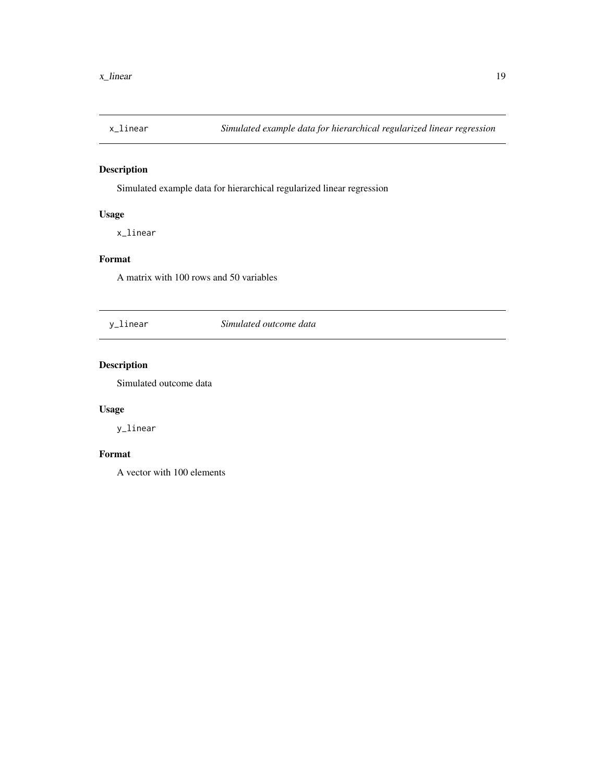<span id="page-18-0"></span>

Simulated example data for hierarchical regularized linear regression

# Usage

x\_linear

# Format

A matrix with 100 rows and 50 variables

y\_linear *Simulated outcome data*

# Description

Simulated outcome data

# Usage

y\_linear

# Format

A vector with 100 elements